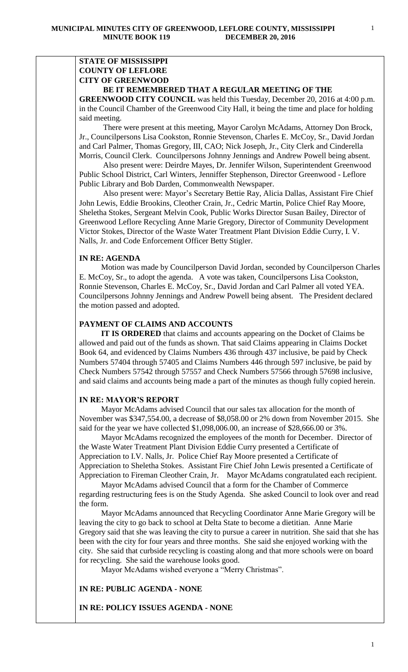# **STATE OF MISSISSIPPI COUNTY OF LEFLORE CITY OF GREENWOOD**

# **BE IT REMEMBERED THAT A REGULAR MEETING OF THE**

**GREENWOOD CITY COUNCIL** was held this Tuesday, December 20, 2016 at 4:00 p.m. in the Council Chamber of the Greenwood City Hall, it being the time and place for holding said meeting.

There were present at this meeting, Mayor Carolyn McAdams, Attorney Don Brock, Jr., Councilpersons Lisa Cookston, Ronnie Stevenson, Charles E. McCoy, Sr., David Jordan and Carl Palmer, Thomas Gregory, III, CAO; Nick Joseph, Jr., City Clerk and Cinderella Morris, Council Clerk. Councilpersons Johnny Jennings and Andrew Powell being absent.

 Also present were: Deirdre Mayes, Dr. Jennifer Wilson, Superintendent Greenwood Public School District, Carl Winters, Jenniffer Stephenson, Director Greenwood - Leflore Public Library and Bob Darden, Commonwealth Newspaper.

 Also present were: Mayor's Secretary Bettie Ray, Alicia Dallas, Assistant Fire Chief John Lewis, Eddie Brookins, Cleother Crain, Jr., Cedric Martin, Police Chief Ray Moore, Sheletha Stokes, Sergeant Melvin Cook, Public Works Director Susan Bailey, Director of Greenwood Leflore Recycling Anne Marie Gregory, Director of Community Development Victor Stokes, Director of the Waste Water Treatment Plant Division Eddie Curry, I. V. Nalls, Jr. and Code Enforcement Officer Betty Stigler.

## **IN RE: AGENDA**

 Motion was made by Councilperson David Jordan, seconded by Councilperson Charles E. McCoy, Sr., to adopt the agenda. A vote was taken, Councilpersons Lisa Cookston, Ronnie Stevenson, Charles E. McCoy, Sr., David Jordan and Carl Palmer all voted YEA. Councilpersons Johnny Jennings and Andrew Powell being absent. The President declared the motion passed and adopted.

# **PAYMENT OF CLAIMS AND ACCOUNTS**

 **IT IS ORDERED** that claims and accounts appearing on the Docket of Claims be allowed and paid out of the funds as shown. That said Claims appearing in Claims Docket Book 64, and evidenced by Claims Numbers 436 through 437 inclusive, be paid by Check Numbers 57404 through 57405 and Claims Numbers 446 through 597 inclusive, be paid by Check Numbers 57542 through 57557 and Check Numbers 57566 through 57698 inclusive, and said claims and accounts being made a part of the minutes as though fully copied herein.

## **IN RE: MAYOR'S REPORT**

 Mayor McAdams advised Council that our sales tax allocation for the month of November was \$347,554.00, a decrease of \$8,058.00 or 2% down from November 2015. She said for the year we have collected \$1,098,006.00, an increase of \$28,666.00 or 3%.

 Mayor McAdams recognized the employees of the month for December. Director of the Waste Water Treatment Plant Division Eddie Curry presented a Certificate of Appreciation to I.V. Nalls, Jr. Police Chief Ray Moore presented a Certificate of Appreciation to Sheletha Stokes. Assistant Fire Chief John Lewis presented a Certificate of Appreciation to Fireman Cleother Crain, Jr. Mayor McAdams congratulated each recipient.

 Mayor McAdams advised Council that a form for the Chamber of Commerce regarding restructuring fees is on the Study Agenda. She asked Council to look over and read the form.

 Mayor McAdams announced that Recycling Coordinator Anne Marie Gregory will be leaving the city to go back to school at Delta State to become a dietitian. Anne Marie Gregory said that she was leaving the city to pursue a career in nutrition. She said that she has been with the city for four years and three months. She said she enjoyed working with the city. She said that curbside recycling is coasting along and that more schools were on board for recycling. She said the warehouse looks good.

Mayor McAdams wished everyone a "Merry Christmas".

## **IN RE: PUBLIC AGENDA - NONE**

**IN RE: POLICY ISSUES AGENDA - NONE**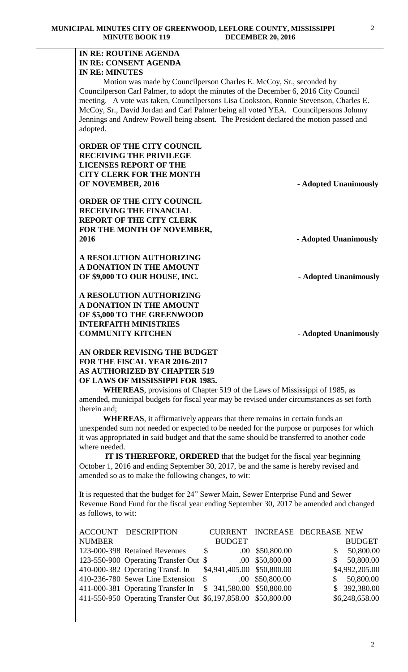# **IN RE: ROUTINE AGENDA IN RE: CONSENT AGENDA IN RE: MINUTES**

 Motion was made by Councilperson Charles E. McCoy, Sr., seconded by Councilperson Carl Palmer, to adopt the minutes of the December 6, 2016 City Council meeting. A vote was taken, Councilpersons Lisa Cookston, Ronnie Stevenson, Charles E. McCoy, Sr., David Jordan and Carl Palmer being all voted YEA. Councilpersons Johnny Jennings and Andrew Powell being absent. The President declared the motion passed and adopted.

**ORDER OF THE CITY COUNCIL RECEIVING THE PRIVILEGE LICENSES REPORT OF THE CITY CLERK FOR THE MONTH OF NOVEMBER, 2016** - **Adopted Unanimously** 

**ORDER OF THE CITY COUNCIL RECEIVING THE FINANCIAL REPORT OF THE CITY CLERK FOR THE MONTH OF NOVEMBER, 2016 - Adopted Unanimously**

**A RESOLUTION AUTHORIZING A DONATION IN THE AMOUNT OF \$9,000 TO OUR HOUSE, INC.** - **Adopted Unanimously** 

**A RESOLUTION AUTHORIZING A DONATION IN THE AMOUNT OF \$5,000 TO THE GREENWOOD INTERFAITH MINISTRIES COMMUNITY KITCHEN** - **Adopted Unanimously** 

**AN ORDER REVISING THE BUDGET FOR THE FISCAL YEAR 2016-2017 AS AUTHORIZED BY CHAPTER 519 OF LAWS OF MISSISSIPPI FOR 1985.**

**WHEREAS**, provisions of Chapter 519 of the Laws of Mississippi of 1985, as amended, municipal budgets for fiscal year may be revised under circumstances as set forth therein and;

**WHEREAS**, it affirmatively appears that there remains in certain funds an unexpended sum not needed or expected to be needed for the purpose or purposes for which it was appropriated in said budget and that the same should be transferred to another code where needed.

 **IT IS THEREFORE, ORDERED** that the budget for the fiscal year beginning October 1, 2016 and ending September 30, 2017, be and the same is hereby revised and amended so as to make the following changes, to wit:

It is requested that the budget for 24" Sewer Main, Sewer Enterprise Fund and Sewer Revenue Bond Fund for the fiscal year ending September 30, 2017 be amended and changed as follows, to wit:

|               | <b>ACCOUNT DESCRIPTION</b>                                    | <b>CURRENT</b>             |                 | INCREASE DECREASE NEW |                |
|---------------|---------------------------------------------------------------|----------------------------|-----------------|-----------------------|----------------|
| <b>NUMBER</b> |                                                               | <b>BUDGET</b>              |                 |                       | <b>BUDGET</b>  |
|               | 123-000-398 Retained Revenues                                 | <b>S</b>                   | .00 \$50,800.00 | \$                    | 50,800.00      |
|               | 123-550-900 Operating Transfer Out \$                         |                            | .00 \$50,800.00 | S                     | 50,800.00      |
|               | 410-000-382 Operating Transf. In                              | \$4,941,405.00 \$50,800.00 |                 |                       | \$4,992,205.00 |
|               | 410-236-780 Sewer Line Extension                              | $\mathcal{S}$              | .00 \$50,800.00 | S                     | 50,800.00      |
|               | 411-000-381 Operating Transfer In                             | \$ 341,580.00 \$50,800.00  |                 |                       | \$ 392,380.00  |
|               | 411-550-950 Operating Transfer Out \$6,197,858.00 \$50,800.00 |                            |                 |                       | \$6,248,658.00 |
|               |                                                               |                            |                 |                       |                |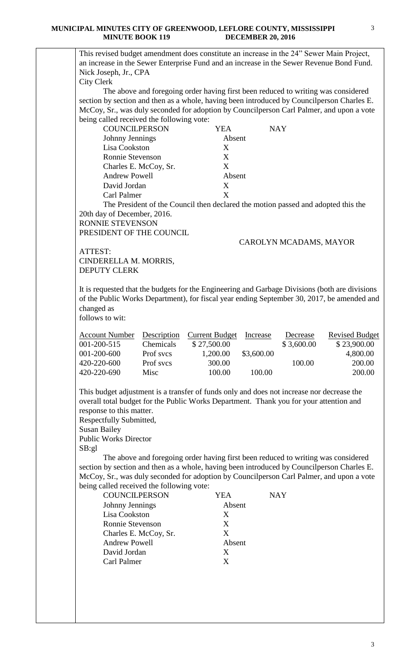#### **MUNICIPAL MINUTES CITY OF GREENWOOD, LEFLORE COUNTY, MISSISSIPPI MINUTE BOOK 119 DECEMBER 20, 2016**



Carl Palmer X

3

3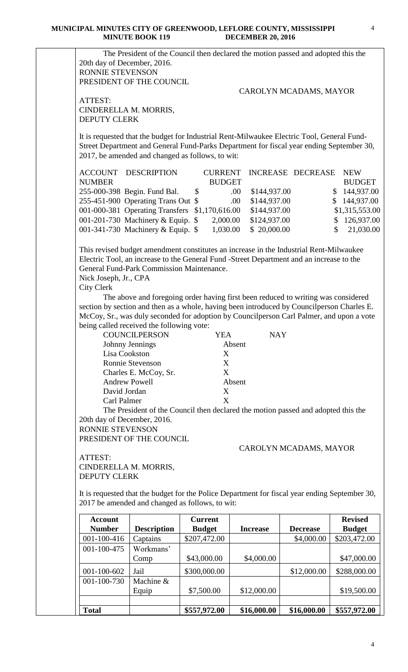|                                                                                                                                                                                                                                                                                                                                                                                                                                                                                                                                                                                                           |                                                                                                                                                                                                                                            |                | DLCL/MDLIX 20, 2010  |                          |                           |  |  |  |
|-----------------------------------------------------------------------------------------------------------------------------------------------------------------------------------------------------------------------------------------------------------------------------------------------------------------------------------------------------------------------------------------------------------------------------------------------------------------------------------------------------------------------------------------------------------------------------------------------------------|--------------------------------------------------------------------------------------------------------------------------------------------------------------------------------------------------------------------------------------------|----------------|----------------------|--------------------------|---------------------------|--|--|--|
| The President of the Council then declared the motion passed and adopted this the<br>20th day of December, 2016.<br>RONNIE STEVENSON                                                                                                                                                                                                                                                                                                                                                                                                                                                                      |                                                                                                                                                                                                                                            |                |                      |                          |                           |  |  |  |
|                                                                                                                                                                                                                                                                                                                                                                                                                                                                                                                                                                                                           | PRESIDENT OF THE COUNCIL                                                                                                                                                                                                                   |                |                      |                          |                           |  |  |  |
|                                                                                                                                                                                                                                                                                                                                                                                                                                                                                                                                                                                                           |                                                                                                                                                                                                                                            |                |                      | CAROLYN MCADAMS, MAYOR   |                           |  |  |  |
| ATTEST:<br>CINDERELLA M. MORRIS,                                                                                                                                                                                                                                                                                                                                                                                                                                                                                                                                                                          |                                                                                                                                                                                                                                            |                |                      |                          |                           |  |  |  |
| <b>DEPUTY CLERK</b>                                                                                                                                                                                                                                                                                                                                                                                                                                                                                                                                                                                       |                                                                                                                                                                                                                                            |                |                      |                          |                           |  |  |  |
|                                                                                                                                                                                                                                                                                                                                                                                                                                                                                                                                                                                                           |                                                                                                                                                                                                                                            |                |                      |                          |                           |  |  |  |
|                                                                                                                                                                                                                                                                                                                                                                                                                                                                                                                                                                                                           | It is requested that the budget for Industrial Rent-Milwaukee Electric Tool, General Fund-<br>Street Department and General Fund-Parks Department for fiscal year ending September 30,<br>2017, be amended and changed as follows, to wit: |                |                      |                          |                           |  |  |  |
| <b>ACCOUNT DESCRIPTION</b>                                                                                                                                                                                                                                                                                                                                                                                                                                                                                                                                                                                |                                                                                                                                                                                                                                            | <b>CURRENT</b> |                      | <b>INCREASE DECREASE</b> | <b>NEW</b>                |  |  |  |
| <b>NUMBER</b>                                                                                                                                                                                                                                                                                                                                                                                                                                                                                                                                                                                             |                                                                                                                                                                                                                                            | <b>BUDGET</b>  |                      |                          | <b>BUDGET</b>             |  |  |  |
|                                                                                                                                                                                                                                                                                                                                                                                                                                                                                                                                                                                                           | 255-000-398 Begin. Fund Bal.                                                                                                                                                                                                               | $\mathbb{S}$   | \$144,937.00<br>.00. |                          | \$144,937.00              |  |  |  |
|                                                                                                                                                                                                                                                                                                                                                                                                                                                                                                                                                                                                           | 255-451-900 Operating Trans Out \$                                                                                                                                                                                                         |                | \$144,937.00<br>.00. |                          | \$144,937.00              |  |  |  |
| 001-000-381 Operating Transfers \$1,170,616.00                                                                                                                                                                                                                                                                                                                                                                                                                                                                                                                                                            |                                                                                                                                                                                                                                            |                | \$144,937.00         |                          | \$1,315,553.00            |  |  |  |
| 001-201-730 Machinery & Equip. $$$                                                                                                                                                                                                                                                                                                                                                                                                                                                                                                                                                                        |                                                                                                                                                                                                                                            | 2,000.00       | \$124,937.00         |                          | \$126,937.00              |  |  |  |
| 001-341-730 Machinery & Equip. \$                                                                                                                                                                                                                                                                                                                                                                                                                                                                                                                                                                         |                                                                                                                                                                                                                                            | 1,030.00       | \$20,000.00          |                          | $\mathbb{S}$<br>21,030.00 |  |  |  |
|                                                                                                                                                                                                                                                                                                                                                                                                                                                                                                                                                                                                           |                                                                                                                                                                                                                                            |                |                      |                          |                           |  |  |  |
| This revised budget amendment constitutes an increase in the Industrial Rent-Milwaukee<br>Electric Tool, an increase to the General Fund -Street Department and an increase to the<br>General Fund-Park Commission Maintenance.<br>Nick Joseph, Jr., CPA<br><b>City Clerk</b><br>The above and foregoing order having first been reduced to writing was considered<br>section by section and then as a whole, having been introduced by Councilperson Charles E.<br>McCoy, Sr., was duly seconded for adoption by Councilperson Carl Palmer, and upon a vote<br>being called received the following vote: |                                                                                                                                                                                                                                            |                |                      |                          |                           |  |  |  |
|                                                                                                                                                                                                                                                                                                                                                                                                                                                                                                                                                                                                           |                                                                                                                                                                                                                                            |                |                      |                          |                           |  |  |  |
|                                                                                                                                                                                                                                                                                                                                                                                                                                                                                                                                                                                                           | COUNCILPERSON                                                                                                                                                                                                                              | <b>YEA</b>     | <b>NAY</b>           |                          |                           |  |  |  |
| Johnny Jennings<br>Lisa Cookston                                                                                                                                                                                                                                                                                                                                                                                                                                                                                                                                                                          |                                                                                                                                                                                                                                            | Absent<br>X    |                      |                          |                           |  |  |  |
|                                                                                                                                                                                                                                                                                                                                                                                                                                                                                                                                                                                                           |                                                                                                                                                                                                                                            | X              |                      |                          |                           |  |  |  |
| Ronnie Stevenson<br>X                                                                                                                                                                                                                                                                                                                                                                                                                                                                                                                                                                                     |                                                                                                                                                                                                                                            |                |                      |                          |                           |  |  |  |
| Charles E. McCoy, Sr.                                                                                                                                                                                                                                                                                                                                                                                                                                                                                                                                                                                     |                                                                                                                                                                                                                                            |                |                      |                          |                           |  |  |  |
| <b>Andrew Powell</b><br>Absent<br>David Jordan                                                                                                                                                                                                                                                                                                                                                                                                                                                                                                                                                            |                                                                                                                                                                                                                                            |                |                      |                          |                           |  |  |  |
|                                                                                                                                                                                                                                                                                                                                                                                                                                                                                                                                                                                                           |                                                                                                                                                                                                                                            | X              |                      |                          |                           |  |  |  |
| X<br>Carl Palmer                                                                                                                                                                                                                                                                                                                                                                                                                                                                                                                                                                                          |                                                                                                                                                                                                                                            |                |                      |                          |                           |  |  |  |
| The President of the Council then declared the motion passed and adopted this the<br>20th day of December, 2016.                                                                                                                                                                                                                                                                                                                                                                                                                                                                                          |                                                                                                                                                                                                                                            |                |                      |                          |                           |  |  |  |
| <b>RONNIE STEVENSON</b>                                                                                                                                                                                                                                                                                                                                                                                                                                                                                                                                                                                   |                                                                                                                                                                                                                                            |                |                      |                          |                           |  |  |  |
|                                                                                                                                                                                                                                                                                                                                                                                                                                                                                                                                                                                                           | PRESIDENT OF THE COUNCIL                                                                                                                                                                                                                   |                |                      |                          |                           |  |  |  |
|                                                                                                                                                                                                                                                                                                                                                                                                                                                                                                                                                                                                           |                                                                                                                                                                                                                                            |                |                      | CAROLYN MCADAMS, MAYOR   |                           |  |  |  |
| ATTEST:                                                                                                                                                                                                                                                                                                                                                                                                                                                                                                                                                                                                   |                                                                                                                                                                                                                                            |                |                      |                          |                           |  |  |  |
| CINDERELLA M. MORRIS,                                                                                                                                                                                                                                                                                                                                                                                                                                                                                                                                                                                     |                                                                                                                                                                                                                                            |                |                      |                          |                           |  |  |  |
| <b>DEPUTY CLERK</b>                                                                                                                                                                                                                                                                                                                                                                                                                                                                                                                                                                                       |                                                                                                                                                                                                                                            |                |                      |                          |                           |  |  |  |
|                                                                                                                                                                                                                                                                                                                                                                                                                                                                                                                                                                                                           |                                                                                                                                                                                                                                            |                |                      |                          |                           |  |  |  |
| It is requested that the budget for the Police Department for fiscal year ending September 30,<br>2017 be amended and changed as follows, to wit:                                                                                                                                                                                                                                                                                                                                                                                                                                                         |                                                                                                                                                                                                                                            |                |                      |                          |                           |  |  |  |
| <b>Account</b>                                                                                                                                                                                                                                                                                                                                                                                                                                                                                                                                                                                            |                                                                                                                                                                                                                                            | <b>Current</b> |                      |                          | <b>Revised</b>            |  |  |  |
| <b>Number</b>                                                                                                                                                                                                                                                                                                                                                                                                                                                                                                                                                                                             | <b>Description</b>                                                                                                                                                                                                                         | <b>Budget</b>  | <b>Increase</b>      | <b>Decrease</b>          | <b>Budget</b>             |  |  |  |
| 001-100-416                                                                                                                                                                                                                                                                                                                                                                                                                                                                                                                                                                                               | Captains                                                                                                                                                                                                                                   | \$207,472.00   |                      | \$4,000.00               | \$203,472.00              |  |  |  |
| 001-100-475                                                                                                                                                                                                                                                                                                                                                                                                                                                                                                                                                                                               | Workmans'                                                                                                                                                                                                                                  |                |                      |                          |                           |  |  |  |
|                                                                                                                                                                                                                                                                                                                                                                                                                                                                                                                                                                                                           | Comp                                                                                                                                                                                                                                       | \$43,000.00    | \$4,000.00           |                          | \$47,000.00               |  |  |  |
| 001-100-602                                                                                                                                                                                                                                                                                                                                                                                                                                                                                                                                                                                               | Jail                                                                                                                                                                                                                                       | \$300,000.00   |                      | \$12,000.00              | \$288,000.00              |  |  |  |
| 001-100-730                                                                                                                                                                                                                                                                                                                                                                                                                                                                                                                                                                                               | Machine &                                                                                                                                                                                                                                  |                |                      |                          |                           |  |  |  |
|                                                                                                                                                                                                                                                                                                                                                                                                                                                                                                                                                                                                           | Equip                                                                                                                                                                                                                                      | \$7,500.00     | \$12,000.00          |                          | \$19,500.00               |  |  |  |
|                                                                                                                                                                                                                                                                                                                                                                                                                                                                                                                                                                                                           |                                                                                                                                                                                                                                            |                |                      |                          |                           |  |  |  |
| <b>Total</b>                                                                                                                                                                                                                                                                                                                                                                                                                                                                                                                                                                                              |                                                                                                                                                                                                                                            | \$557,972.00   | \$16,000.00          | \$16,000.00              | \$557,972.00              |  |  |  |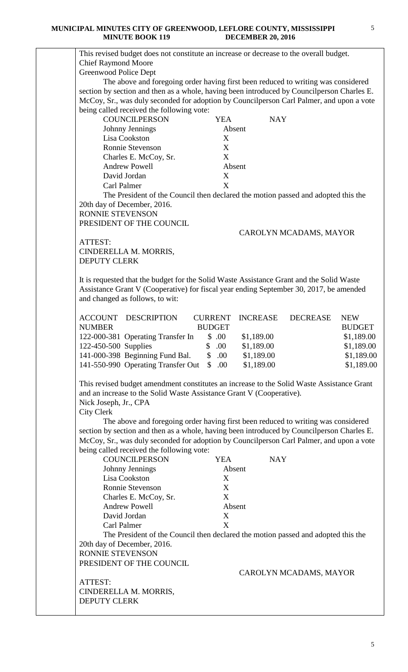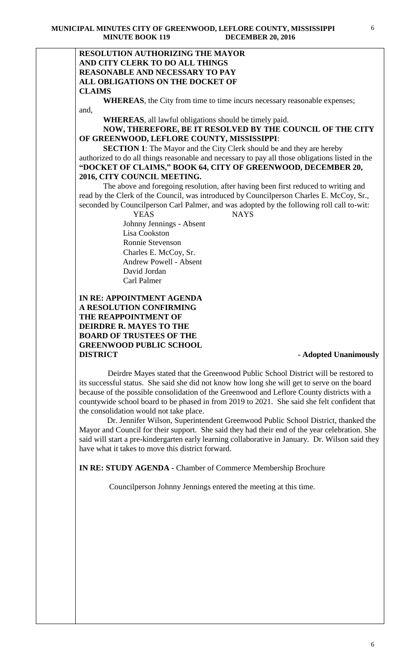## **RESOLUTION AUTHORIZING THE MAYOR AND CITY CLERK TO DO ALL THINGS REASONABLE AND NECESSARY TO PAY ALL OBLIGATIONS ON THE DOCKET OF CLAIMS**

**WHEREAS**, the City from time to time incurs necessary reasonable expenses; and,

**WHEREAS**, all lawful obligations should be timely paid.

# **NOW, THEREFORE, BE IT RESOLVED BY THE COUNCIL OF THE CITY OF GREENWOOD, LEFLORE COUNTY, MISSISSIPPI**:

**SECTION 1**: The Mayor and the City Clerk should be and they are hereby authorized to do all things reasonable and necessary to pay all those obligations listed in the **"DOCKET OF CLAIMS," BOOK 64, CITY OF GREENWOOD, DECEMBER 20, 2016, CITY COUNCIL MEETING.**

The above and foregoing resolution, after having been first reduced to writing and read by the Clerk of the Council, was introduced by Councilperson Charles E. McCoy, Sr., seconded by Councilperson Carl Palmer, and was adopted by the following roll call to-wit:

> YEAS NAYS Johnny Jennings - Absent Lisa Cookston Ronnie Stevenson Charles E. McCoy, Sr. Andrew Powell - Absent David Jordan Carl Palmer

# **IN RE: APPOINTMENT AGENDA A RESOLUTION CONFIRMING THE REAPPOINTMENT OF DEIRDRE R. MAYES TO THE BOARD OF TRUSTEES OF THE GREENWOOD PUBLIC SCHOOL DISTRICT** - **Adopted Unanimously**

 Deirdre Mayes stated that the Greenwood Public School District will be restored to its successful status. She said she did not know how long she will get to serve on the board because of the possible consolidation of the Greenwood and Leflore County districts with a countywide school board to be phased in from 2019 to 2021. She said she felt confident that the consolidation would not take place.

 Dr. Jennifer Wilson, Superintendent Greenwood Public School District, thanked the Mayor and Council for their support. She said they had their end of the year celebration. She said will start a pre-kindergarten early learning collaborative in January. Dr. Wilson said they have what it takes to move this district forward.

**IN RE: STUDY AGENDA -** Chamber of Commerce Membership Brochure

Councilperson Johnny Jennings entered the meeting at this time.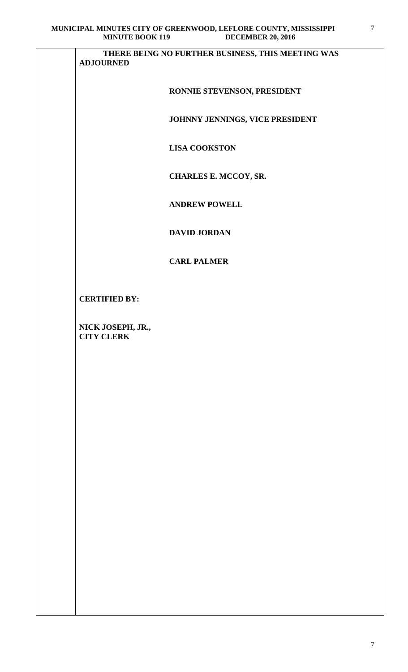| <b>MINUTE BOOK 119</b><br><b>DECEMBER 20, 2016</b>                    |
|-----------------------------------------------------------------------|
| THERE BEING NO FURTHER BUSINESS, THIS MEETING WAS<br><b>ADJOURNED</b> |
| RONNIE STEVENSON, PRESIDENT                                           |
| JOHNNY JENNINGS, VICE PRESIDENT                                       |
| <b>LISA COOKSTON</b>                                                  |
| <b>CHARLES E. MCCOY, SR.</b>                                          |
| <b>ANDREW POWELL</b>                                                  |
| <b>DAVID JORDAN</b>                                                   |
| <b>CARL PALMER</b>                                                    |
| <b>CERTIFIED BY:</b>                                                  |
| NICK JOSEPH, JR.,<br><b>CITY CLERK</b>                                |
|                                                                       |
|                                                                       |
|                                                                       |
|                                                                       |
|                                                                       |
|                                                                       |
|                                                                       |
|                                                                       |
|                                                                       |